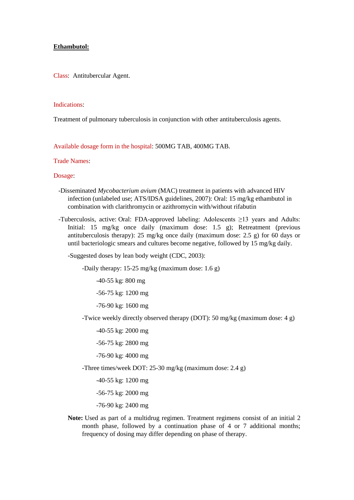### **Ethambutol:**

Class: Antitubercular Agent.

#### Indications:

Treatment of pulmonary tuberculosis in conjunction with other antituberculosis agents.

Available dosage form in the hospital: 500MG TAB, 400MG TAB.

# Trade Names:

## Dosage:

- -Disseminated *Mycobacterium avium* (MAC) treatment in patients with advanced HIV infection (unlabeled use; ATS/IDSA guidelines, 2007): Oral: 15 mg/kg ethambutol in combination with clarithromycin or azithromycin with/without rifabutin
- -Tuberculosis, active: Oral: FDA-approved labeling: Adolescents ≥13 years and Adults: Initial: 15 mg/kg once daily (maximum dose: 1.5 g); Retreatment (previous antituberculosis therapy): 25 mg/kg once daily (maximum dose: 2.5 g) for 60 days or until bacteriologic smears and cultures become negative, followed by 15 mg/kg daily.

-Suggested doses by lean body weight (CDC, 2003):

-Daily therapy: 15-25 mg/kg (maximum dose: 1.6 g)

-40-55 kg: 800 mg

-56-75 kg: 1200 mg

-76-90 kg: 1600 mg

-Twice weekly directly observed therapy (DOT): 50 mg/kg (maximum dose: 4 g)

-40-55 kg: 2000 mg

-56-75 kg: 2800 mg

-76-90 kg: 4000 mg

-Three times/week DOT: 25-30 mg/kg (maximum dose: 2.4 g)

-40-55 kg: 1200 mg

-56-75 kg: 2000 mg

-76-90 kg: 2400 mg

**Note:** Used as part of a multidrug regimen. Treatment regimens consist of an initial 2 month phase, followed by a continuation phase of 4 or 7 additional months; frequency of dosing may differ depending on phase of therapy.